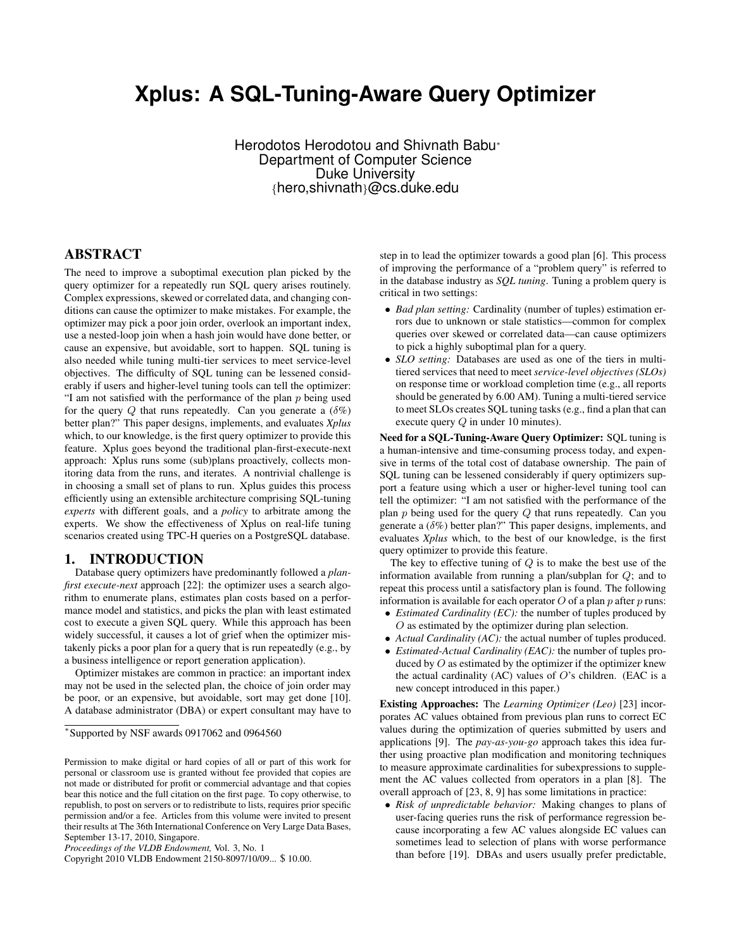# **Xplus: A SQL-Tuning-Aware Query Optimizer**

Herodotos Herodotou and Shivnath Babu<sup>∗</sup> Department of Computer Science Duke University {hero,shivnath}@cs.duke.edu

## ABSTRACT

The need to improve a suboptimal execution plan picked by the query optimizer for a repeatedly run SQL query arises routinely. Complex expressions, skewed or correlated data, and changing conditions can cause the optimizer to make mistakes. For example, the optimizer may pick a poor join order, overlook an important index, use a nested-loop join when a hash join would have done better, or cause an expensive, but avoidable, sort to happen. SQL tuning is also needed while tuning multi-tier services to meet service-level objectives. The difficulty of SQL tuning can be lessened considerably if users and higher-level tuning tools can tell the optimizer: "I am not satisfied with the performance of the plan  $p$  being used for the query Q that runs repeatedly. Can you generate a  $(\delta \%)$ better plan?" This paper designs, implements, and evaluates *Xplus* which, to our knowledge, is the first query optimizer to provide this feature. Xplus goes beyond the traditional plan-first-execute-next approach: Xplus runs some (sub)plans proactively, collects monitoring data from the runs, and iterates. A nontrivial challenge is in choosing a small set of plans to run. Xplus guides this process efficiently using an extensible architecture comprising SQL-tuning *experts* with different goals, and a *policy* to arbitrate among the experts. We show the effectiveness of Xplus on real-life tuning scenarios created using TPC-H queries on a PostgreSQL database.

## 1. INTRODUCTION

Database query optimizers have predominantly followed a *planfirst execute-next* approach [22]: the optimizer uses a search algorithm to enumerate plans, estimates plan costs based on a performance model and statistics, and picks the plan with least estimated cost to execute a given SQL query. While this approach has been widely successful, it causes a lot of grief when the optimizer mistakenly picks a poor plan for a query that is run repeatedly (e.g., by a business intelligence or report generation application).

Optimizer mistakes are common in practice: an important index may not be used in the selected plan, the choice of join order may be poor, or an expensive, but avoidable, sort may get done [10]. A database administrator (DBA) or expert consultant may have to

step in to lead the optimizer towards a good plan [6]. This process of improving the performance of a "problem query" is referred to in the database industry as *SQL tuning*. Tuning a problem query is critical in two settings:

- *Bad plan setting:* Cardinality (number of tuples) estimation errors due to unknown or stale statistics—common for complex queries over skewed or correlated data—can cause optimizers to pick a highly suboptimal plan for a query.
- *SLO setting:* Databases are used as one of the tiers in multitiered services that need to meet *service-level objectives (SLOs)* on response time or workload completion time (e.g., all reports should be generated by 6.00 AM). Tuning a multi-tiered service to meet SLOs creates SQL tuning tasks (e.g., find a plan that can execute query Q in under 10 minutes).

Need for a SQL-Tuning-Aware Query Optimizer: SQL tuning is a human-intensive and time-consuming process today, and expensive in terms of the total cost of database ownership. The pain of SQL tuning can be lessened considerably if query optimizers support a feature using which a user or higher-level tuning tool can tell the optimizer: "I am not satisfied with the performance of the plan  $p$  being used for the query  $Q$  that runs repeatedly. Can you generate a  $(\delta \%)$  better plan?" This paper designs, implements, and evaluates *Xplus* which, to the best of our knowledge, is the first query optimizer to provide this feature.

The key to effective tuning of  $Q$  is to make the best use of the information available from running a plan/subplan for Q; and to repeat this process until a satisfactory plan is found. The following information is available for each operator  $O$  of a plan  $p$  after  $p$  runs:

- *Estimated Cardinality (EC):* the number of tuples produced by O as estimated by the optimizer during plan selection.
- *Actual Cardinality (AC):* the actual number of tuples produced.
- *Estimated-Actual Cardinality (EAC):* the number of tuples produced by  $O$  as estimated by the optimizer if the optimizer knew the actual cardinality (AC) values of  $O$ 's children. (EAC is a new concept introduced in this paper.)

Existing Approaches: The *Learning Optimizer (Leo)* [23] incorporates AC values obtained from previous plan runs to correct EC values during the optimization of queries submitted by users and applications [9]. The *pay-as-you-go* approach takes this idea further using proactive plan modification and monitoring techniques to measure approximate cardinalities for subexpressions to supplement the AC values collected from operators in a plan [8]. The overall approach of [23, 8, 9] has some limitations in practice:

• *Risk of unpredictable behavior:* Making changes to plans of user-facing queries runs the risk of performance regression because incorporating a few AC values alongside EC values can sometimes lead to selection of plans with worse performance than before [19]. DBAs and users usually prefer predictable,

<sup>∗</sup> Supported by NSF awards 0917062 and 0964560

Permission to make digital or hard copies of all or part of this work for personal or classroom use is granted without fee provided that copies are not made or distributed for profit or commercial advantage and that copies bear this notice and the full citation on the first page. To copy otherwise, to republish, to post on servers or to redistribute to lists, requires prior specific permission and/or a fee. Articles from this volume were invited to present their results at The 36th International Conference on Very Large Data Bases, September 13-17, 2010, Singapore.

*Proceedings of the VLDB Endowment,* Vol. 3, No. 1

Copyright 2010 VLDB Endowment 2150-8097/10/09... \$ 10.00.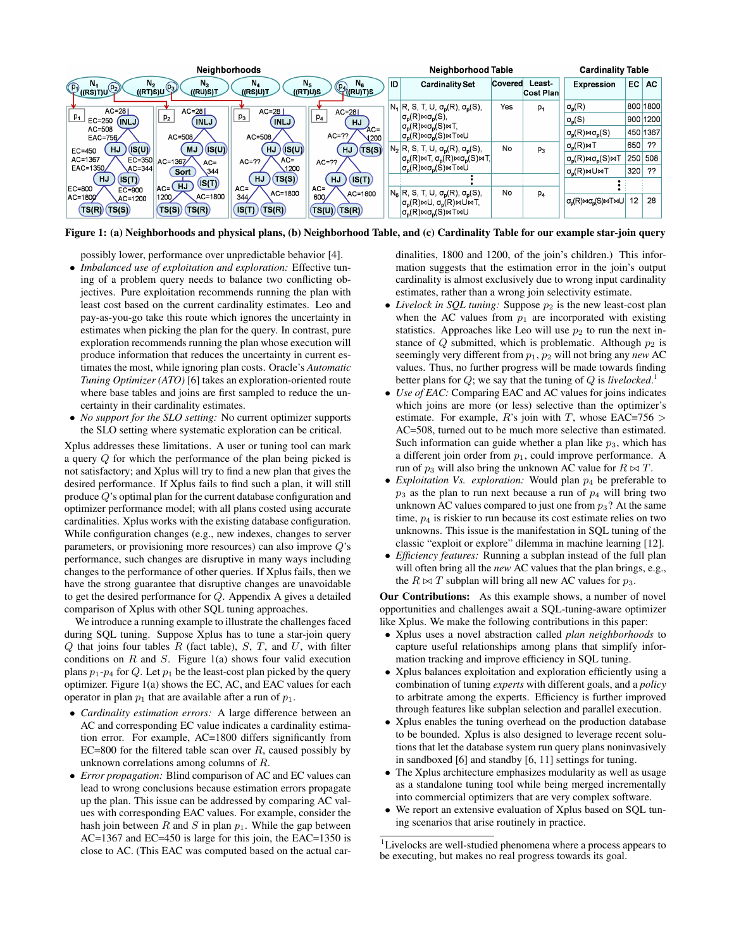| <b>Neighborhoods</b>                                    |                                         |                                        |                                                  |    | Neighborhood Table<br><b>Cardinality Table</b>                                                                                                                                                            |         |                     |                                                                                    |     |          |
|---------------------------------------------------------|-----------------------------------------|----------------------------------------|--------------------------------------------------|----|-----------------------------------------------------------------------------------------------------------------------------------------------------------------------------------------------------------|---------|---------------------|------------------------------------------------------------------------------------|-----|----------|
| $N_{2}$<br>IV4<br>V((RS)T)U <sup>(D2)</sup><br>((RT)S)U | $N_{2}$<br>$(p_3)$<br>((RU)S)T          | N <sub>4</sub><br>((RT)U)S<br>((RS)U)T | $N_{\rm g}$<br>$N_{5}$<br>PA <sub>((RU)T)S</sub> | ID | <b>Cardinality Set</b>                                                                                                                                                                                    | Covered | Least-<br>Cost Plan | Expression                                                                         | EC. | AC       |
| $AC = 281$                                              | $AC = 281$                              | $AC=28$                                | $AC = 281$                                       |    | $N_1$ R, S, T, U, $\sigma_p(R)$ , $\sigma_p(S)$ ,                                                                                                                                                         | Yes     | $p_1$               | $\sigma_{\rm p}({\sf R})$                                                          |     | 800 1800 |
| $p_{1}$<br>EC=250<br>(INLJ)                             | p <sub>2</sub><br><b>INLJ</b>           | $p_3$<br>(INLJ                         | $p_4$<br><b>HJ</b>                               |    | $\sigma_{\rm o}({\sf R})\bowtie\sigma_{\rm o}({\sf S}),$                                                                                                                                                  |         |                     | $\sigma_{p}(S)$                                                                    |     | 900 1200 |
| AC=508<br>EAC=756/                                      | AC=508                                  | $AC = 508$                             | $AC =$<br>$AC=77$<br>$\sqrt{200}$                |    | $\sigma_{\rm p}({\sf R})\bowtie\sigma_{\rm p}({\sf S})\bowtie{\sf T},$<br>$\sigma_{\rm p}(R) \bowtie \sigma_{\rm p}(S) \bowtie \top \bowtie \cup$                                                         |         |                     | $\sigma_{\rm n}({\sf R})\bowtie\sigma_{\rm n}({\sf S})$                            |     | 450 1367 |
| <b>HJ</b><br>(IS(U)<br>$EC=450$                         | $($ IS(U)<br><b>MJ</b>                  | /(S(U)<br>HJ)                          | (TS(S))<br><b>HJ</b>                             |    | $N_2$ R, S, T, U, $\sigma_p(R)$ , $\sigma_p(S)$ ,                                                                                                                                                         | No      | $p_3$               | $\sigma_{\rm p}({\sf R})$ MT                                                       | 650 | ??       |
| AC=1367                                                 | EC=350 AC=1367<br>$AC =$                | $AC =$<br>$AC=77$                      | $AC=77$                                          |    | $ \sigma_{p}(R) \bowtie T, \sigma_{p}(R) \bowtie \sigma_{p}(S) \bowtie T,$                                                                                                                                |         |                     | $\sigma_{\rm p}({\sf R})$ м $\sigma_{\rm p}({\sf S})$ м $\top$                     |     | 250 508  |
| EAC=1350/<br>$AC = 344$                                 | 344<br>Sort                             | 1200                                   |                                                  |    | $\sigma_{\rm p}(R) \bowtie \sigma_{\rm p}(S) \bowtie \top \bowtie \dot{\cup}$                                                                                                                             |         |                     | $\sigma_{\rm n}(R)$ <sub>M</sub> U <sub>M</sub> T                                  | 320 | ??       |
| HJ<br>(IS(T)<br>EC=800                                  | (IS(T)<br>$\mathsf{I}_{AC}$ $(HJ)$      | HJ<br>(TS(S))<br>$AC =$                | (IS(T))<br><b>HJ</b><br>$AC =$                   |    |                                                                                                                                                                                                           |         |                     |                                                                                    |     |          |
| $EC = 900$<br>AC=1800<br>AC=1200<br>TS(S)<br>TS(R)      | $AC = 1800$<br>1200<br>(TS(R))<br>TS(S) | AC=1800<br>344/<br>(TS(R))<br>IS(T)    | $AC = 1800$<br>600/<br>(TS(U))(TS(R))            |    | $N_6$ R, S, T, U, $\sigma_p(R)$ , $\sigma_p(S)$ ,<br>$\sigma_{\rm p}(R) \bowtie U$ , $\sigma_{\rm p}(R) \bowtie U \bowtie T$ ,<br>$\sigma_{\rm o}(R) \bowtie \sigma_{\rm o}(S) \bowtie \top \bowtie \cup$ | No      | p <sub>4</sub>      | $\sigma_{\rm D}({\sf R})\bowtie\sigma_{\rm D}({\sf S})\bowtie\top\bowtie\cup\vert$ | 12  | 28       |

Figure 1: (a) Neighborhoods and physical plans, (b) Neighborhood Table, and (c) Cardinality Table for our example star-join query

possibly lower, performance over unpredictable behavior [4].

- *Imbalanced use of exploitation and exploration:* Effective tuning of a problem query needs to balance two conflicting objectives. Pure exploitation recommends running the plan with least cost based on the current cardinality estimates. Leo and pay-as-you-go take this route which ignores the uncertainty in estimates when picking the plan for the query. In contrast, pure exploration recommends running the plan whose execution will produce information that reduces the uncertainty in current estimates the most, while ignoring plan costs. Oracle's *Automatic Tuning Optimizer (ATO)* [6] takes an exploration-oriented route where base tables and joins are first sampled to reduce the uncertainty in their cardinality estimates.
- *No support for the SLO setting:* No current optimizer supports the SLO setting where systematic exploration can be critical.

Xplus addresses these limitations. A user or tuning tool can mark a query Q for which the performance of the plan being picked is not satisfactory; and Xplus will try to find a new plan that gives the desired performance. If Xplus fails to find such a plan, it will still produce Q's optimal plan for the current database configuration and optimizer performance model; with all plans costed using accurate cardinalities. Xplus works with the existing database configuration. While configuration changes (e.g., new indexes, changes to server parameters, or provisioning more resources) can also improve Q's performance, such changes are disruptive in many ways including changes to the performance of other queries. If Xplus fails, then we have the strong guarantee that disruptive changes are unavoidable to get the desired performance for Q. Appendix A gives a detailed comparison of Xplus with other SQL tuning approaches.

We introduce a running example to illustrate the challenges faced during SQL tuning. Suppose Xplus has to tune a star-join query  $Q$  that joins four tables  $R$  (fact table),  $S$ ,  $T$ , and  $U$ , with filter conditions on  $R$  and  $S$ . Figure 1(a) shows four valid execution plans  $p_1$ - $p_4$  for Q. Let  $p_1$  be the least-cost plan picked by the query optimizer. Figure 1(a) shows the EC, AC, and EAC values for each operator in plan  $p_1$  that are available after a run of  $p_1$ .

- *Cardinality estimation errors:* A large difference between an AC and corresponding EC value indicates a cardinality estimation error. For example, AC=1800 differs significantly from EC=800 for the filtered table scan over  $R$ , caused possibly by unknown correlations among columns of R.
- *Error propagation:* Blind comparison of AC and EC values can lead to wrong conclusions because estimation errors propagate up the plan. This issue can be addressed by comparing AC values with corresponding EAC values. For example, consider the hash join between R and S in plan  $p_1$ . While the gap between AC=1367 and EC=450 is large for this join, the EAC=1350 is close to AC. (This EAC was computed based on the actual car-

dinalities, 1800 and 1200, of the join's children.) This information suggests that the estimation error in the join's output cardinality is almost exclusively due to wrong input cardinality estimates, rather than a wrong join selectivity estimate.

- *Livelock in SQL tuning:* Suppose  $p_2$  is the new least-cost plan when the AC values from  $p_1$  are incorporated with existing statistics. Approaches like Leo will use  $p_2$  to run the next instance of  $Q$  submitted, which is problematic. Although  $p_2$  is seemingly very different from  $p_1$ ,  $p_2$  will not bring any *new* AC values. Thus, no further progress will be made towards finding better plans for Q; we say that the tuning of Q is *livelocked*. 1
- *Use of EAC:* Comparing EAC and AC values for joins indicates which joins are more (or less) selective than the optimizer's estimate. For example, R's join with T, whose EAC=756  $>$ AC=508, turned out to be much more selective than estimated. Such information can guide whether a plan like  $p_3$ , which has a different join order from  $p_1$ , could improve performance. A run of  $p_3$  will also bring the unknown AC value for  $R \bowtie T$ .
- *Exploitation Vs. exploration:* Would plan  $p_4$  be preferable to  $p_3$  as the plan to run next because a run of  $p_4$  will bring two unknown AC values compared to just one from  $p_3$ ? At the same time,  $p<sub>4</sub>$  is riskier to run because its cost estimate relies on two unknowns. This issue is the manifestation in SQL tuning of the classic "exploit or explore" dilemma in machine learning [12].
- *Efficiency features:* Running a subplan instead of the full plan will often bring all the *new* AC values that the plan brings, e.g., the  $R \bowtie T$  subplan will bring all new AC values for  $p_3$ .

Our Contributions: As this example shows, a number of novel opportunities and challenges await a SQL-tuning-aware optimizer like Xplus. We make the following contributions in this paper:

- Xplus uses a novel abstraction called *plan neighborhoods* to capture useful relationships among plans that simplify information tracking and improve efficiency in SQL tuning.
- Xplus balances exploitation and exploration efficiently using a combination of tuning *experts* with different goals, and a *policy* to arbitrate among the experts. Efficiency is further improved through features like subplan selection and parallel execution.
- Xplus enables the tuning overhead on the production database to be bounded. Xplus is also designed to leverage recent solutions that let the database system run query plans noninvasively in sandboxed [6] and standby [6, 11] settings for tuning.
- The Xplus architecture emphasizes modularity as well as usage as a standalone tuning tool while being merged incrementally into commercial optimizers that are very complex software.
- We report an extensive evaluation of Xplus based on SQL tuning scenarios that arise routinely in practice.

<sup>&</sup>lt;sup>1</sup>Livelocks are well-studied phenomena where a process appears to be executing, but makes no real progress towards its goal.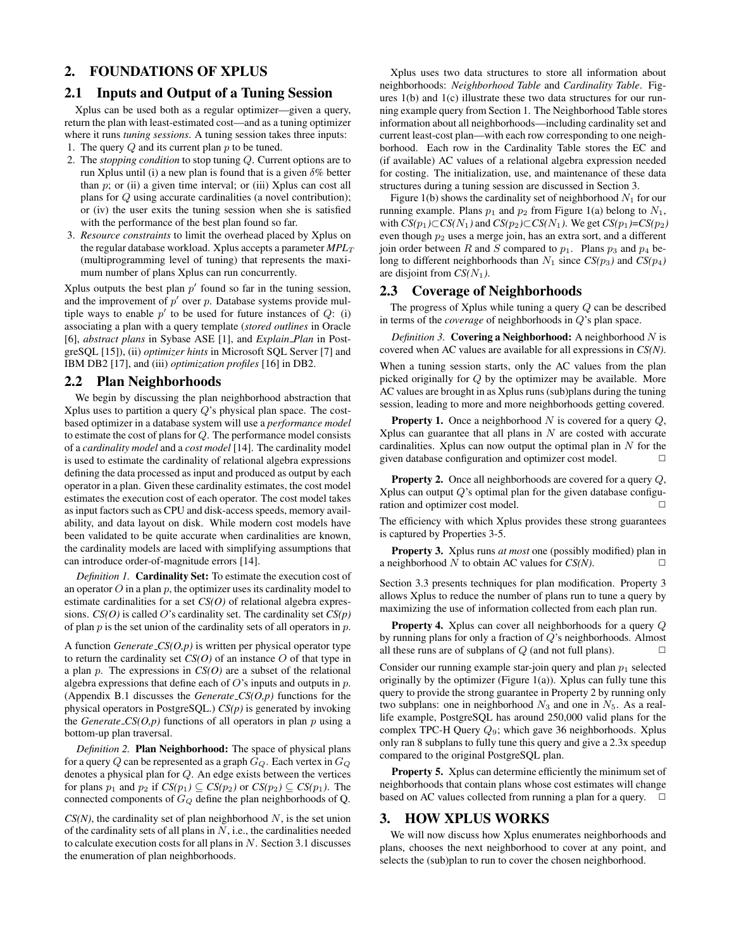## 2. FOUNDATIONS OF XPLUS

#### 2.1 Inputs and Output of a Tuning Session

Xplus can be used both as a regular optimizer—given a query, return the plan with least-estimated cost—and as a tuning optimizer where it runs *tuning sessions*. A tuning session takes three inputs:

- 1. The query  $Q$  and its current plan  $p$  to be tuned.
- 2. The *stopping condition* to stop tuning Q. Current options are to run Xplus until (i) a new plan is found that is a given  $\delta\%$  better than  $p$ ; or (ii) a given time interval; or (iii) Xplus can cost all plans for Q using accurate cardinalities (a novel contribution); or (iv) the user exits the tuning session when she is satisfied with the performance of the best plan found so far.
- 3. *Resource constraints* to limit the overhead placed by Xplus on the regular database workload. Xplus accepts a parameter  $MPL_T$ (multiprogramming level of tuning) that represents the maximum number of plans Xplus can run concurrently.

Xplus outputs the best plan  $p'$  found so far in the tuning session, and the improvement of  $p'$  over p. Database systems provide multiple ways to enable  $p'$  to be used for future instances of  $Q$ : (i) associating a plan with a query template (*stored outlines* in Oracle [6], *abstract plans* in Sybase ASE [1], and *Explain Plan* in PostgreSQL [15]), (ii) *optimizer hints* in Microsoft SQL Server [7] and IBM DB2 [17], and (iii) *optimization profiles* [16] in DB2.

#### 2.2 Plan Neighborhoods

We begin by discussing the plan neighborhood abstraction that Xplus uses to partition a query  $Q$ 's physical plan space. The costbased optimizer in a database system will use a *performance model* to estimate the cost of plans for Q. The performance model consists of a *cardinality model* and a *cost model* [14]. The cardinality model is used to estimate the cardinality of relational algebra expressions defining the data processed as input and produced as output by each operator in a plan. Given these cardinality estimates, the cost model estimates the execution cost of each operator. The cost model takes as input factors such as CPU and disk-access speeds, memory availability, and data layout on disk. While modern cost models have been validated to be quite accurate when cardinalities are known, the cardinality models are laced with simplifying assumptions that can introduce order-of-magnitude errors [14].

*Definition 1.* Cardinality Set: To estimate the execution cost of an operator  $O$  in a plan  $p$ , the optimizer uses its cardinality model to estimate cardinalities for a set *CS(O)* of relational algebra expressions. *CS(O)* is called O's cardinality set. The cardinality set *CS(p)* of plan  $p$  is the set union of the cardinality sets of all operators in  $p$ .

A function *Generate CS(O,p)* is written per physical operator type to return the cardinality set  $CS(O)$  of an instance  $O$  of that type in a plan p. The expressions in *CS(O)* are a subset of the relational algebra expressions that define each of  $O$ 's inputs and outputs in  $p$ . (Appendix B.1 discusses the *Generate CS(O,p)* functions for the physical operators in PostgreSQL.) *CS(p)* is generated by invoking the *Generate*  $\mathcal{CS}(O,p)$  functions of all operators in plan p using a bottom-up plan traversal.

*Definition 2.* Plan Neighborhood: The space of physical plans for a query Q can be represented as a graph  $G_Q$ . Each vertex in  $G_Q$ denotes a physical plan for Q. An edge exists between the vertices for plans  $p_1$  and  $p_2$  if  $CS(p_1) \subseteq CS(p_2)$  or  $CS(p_2) \subseteq CS(p_1)$ . The connected components of  $G_Q$  define the plan neighborhoods of Q.

 $CS(N)$ , the cardinality set of plan neighborhood  $N$ , is the set union of the cardinality sets of all plans in  $N$ , i.e., the cardinalities needed to calculate execution costs for all plans in  $N$ . Section 3.1 discusses the enumeration of plan neighborhoods.

Xplus uses two data structures to store all information about neighborhoods: *Neighborhood Table* and *Cardinality Table*. Figures 1(b) and 1(c) illustrate these two data structures for our running example query from Section 1. The Neighborhood Table stores information about all neighborhoods—including cardinality set and current least-cost plan—with each row corresponding to one neighborhood. Each row in the Cardinality Table stores the EC and (if available) AC values of a relational algebra expression needed for costing. The initialization, use, and maintenance of these data structures during a tuning session are discussed in Section 3.

Figure 1(b) shows the cardinality set of neighborhood  $N_1$  for our running example. Plans  $p_1$  and  $p_2$  from Figure 1(a) belong to  $N_1$ , with  $CS(p_1) \subset CS(N_1)$  and  $CS(p_2) \subset CS(N_1)$ . We get  $CS(p_1) = CS(p_2)$ even though  $p_2$  uses a merge join, has an extra sort, and a different join order between R and S compared to  $p_1$ . Plans  $p_3$  and  $p_4$  belong to different neighborhoods than  $N_1$  since  $CS(p_3)$  and  $CS(p_4)$ are disjoint from  $CS(N_1)$ .

### 2.3 Coverage of Neighborhoods

The progress of Xplus while tuning a query Q can be described in terms of the *coverage* of neighborhoods in Q's plan space.

*Definition 3.* Covering a Neighborhood: A neighborhood  $N$  is covered when AC values are available for all expressions in *CS(N)*.

When a tuning session starts, only the AC values from the plan picked originally for Q by the optimizer may be available. More AC values are brought in as Xplus runs (sub)plans during the tuning session, leading to more and more neighborhoods getting covered.

**Property 1.** Once a neighborhood N is covered for a query  $Q$ , Xplus can guarantee that all plans in  $N$  are costed with accurate cardinalities. Xplus can now output the optimal plan in  $N$  for the given database configuration and optimizer cost model.  $\Box$ 

**Property 2.** Once all neighborhoods are covered for a query  $Q$ , Xplus can output  $Q$ 's optimal plan for the given database configuration and optimizer cost model.  $\Box$ 

The efficiency with which Xplus provides these strong guarantees is captured by Properties 3-5.

Property 3. Xplus runs *at most* one (possibly modified) plan in a neighborhood  $N$  to obtain AC values for  $CS(N)$ .

Section 3.3 presents techniques for plan modification. Property 3 allows Xplus to reduce the number of plans run to tune a query by maximizing the use of information collected from each plan run.

Property 4. Xplus can cover all neighborhoods for a query Q by running plans for only a fraction of Q's neighborhoods. Almost all these runs are of subplans of  $Q$  (and not full plans).

Consider our running example star-join query and plan  $p_1$  selected originally by the optimizer (Figure 1(a)). Xplus can fully tune this query to provide the strong guarantee in Property 2 by running only two subplans: one in neighborhood  $N_3$  and one in  $N_5$ . As a reallife example, PostgreSQL has around 250,000 valid plans for the complex TPC-H Query  $Q_9$ ; which gave 36 neighborhoods. Xplus only ran 8 subplans to fully tune this query and give a 2.3x speedup compared to the original PostgreSQL plan.

Property 5. Xplus can determine efficiently the minimum set of neighborhoods that contain plans whose cost estimates will change based on AC values collected from running a plan for a query.

#### 3. HOW XPLUS WORKS

We will now discuss how Xplus enumerates neighborhoods and plans, chooses the next neighborhood to cover at any point, and selects the (sub)plan to run to cover the chosen neighborhood.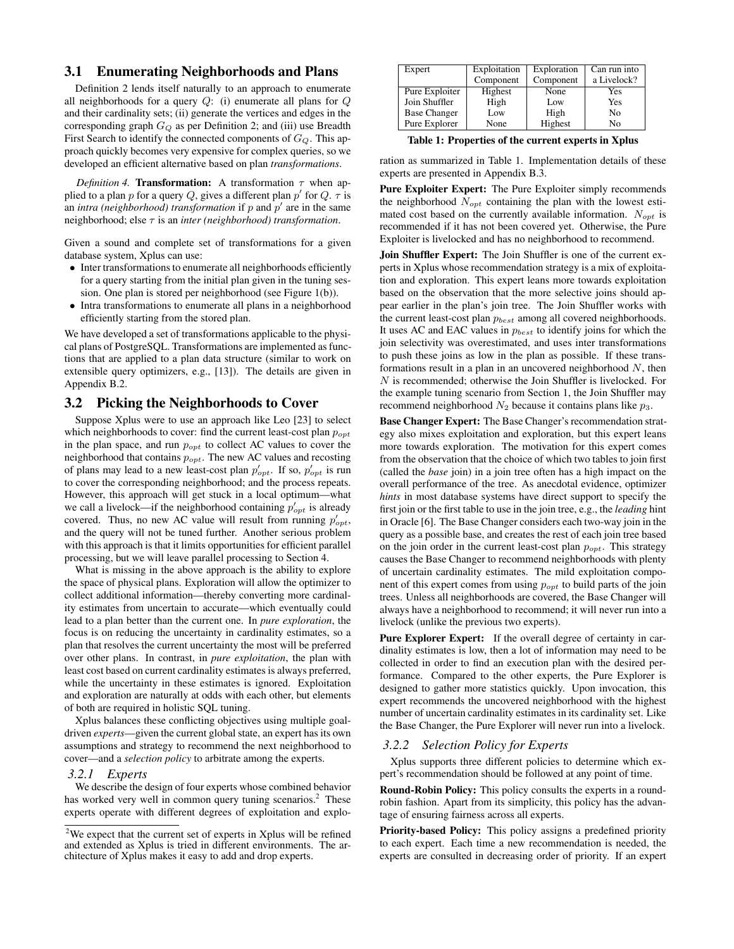## 3.1 Enumerating Neighborhoods and Plans

Definition 2 lends itself naturally to an approach to enumerate all neighborhoods for a query  $Q$ : (i) enumerate all plans for  $Q$ and their cardinality sets; (ii) generate the vertices and edges in the corresponding graph  $G_Q$  as per Definition 2; and (iii) use Breadth First Search to identify the connected components of  $G_Q$ . This approach quickly becomes very expensive for complex queries, so we developed an efficient alternative based on plan *transformations*.

*Definition 4.* **Transformation:** A transformation  $\tau$  when applied to a plan p for a query Q, gives a different plan p' for Q.  $\tau$  is an *intra (neighborhood) transformation* if  $p$  and  $p'$  are in the same neighborhood; else τ is an *inter (neighborhood) transformation*.

Given a sound and complete set of transformations for a given database system, Xplus can use:

- Inter transformations to enumerate all neighborhoods efficiently for a query starting from the initial plan given in the tuning session. One plan is stored per neighborhood (see Figure 1(b)).
- Intra transformations to enumerate all plans in a neighborhood efficiently starting from the stored plan.

We have developed a set of transformations applicable to the physical plans of PostgreSQL. Transformations are implemented as functions that are applied to a plan data structure (similar to work on extensible query optimizers, e.g., [13]). The details are given in Appendix B.2.

#### 3.2 Picking the Neighborhoods to Cover

Suppose Xplus were to use an approach like Leo [23] to select which neighborhoods to cover: find the current least-cost plan  $p_{opt}$ in the plan space, and run  $p_{opt}$  to collect AC values to cover the neighborhood that contains  $p_{opt}$ . The new AC values and recosting of plans may lead to a new least-cost plan  $p'_{opt}$ . If so,  $p'_{opt}$  is run to cover the corresponding neighborhood; and the process repeats. However, this approach will get stuck in a local optimum—what we call a livelock—if the neighborhood containing  $p'_{opt}$  is already covered. Thus, no new AC value will result from running  $p'_{opt}$ , and the query will not be tuned further. Another serious problem with this approach is that it limits opportunities for efficient parallel processing, but we will leave parallel processing to Section 4.

What is missing in the above approach is the ability to explore the space of physical plans. Exploration will allow the optimizer to collect additional information—thereby converting more cardinality estimates from uncertain to accurate—which eventually could lead to a plan better than the current one. In *pure exploration*, the focus is on reducing the uncertainty in cardinality estimates, so a plan that resolves the current uncertainty the most will be preferred over other plans. In contrast, in *pure exploitation*, the plan with least cost based on current cardinality estimates is always preferred, while the uncertainty in these estimates is ignored. Exploitation and exploration are naturally at odds with each other, but elements of both are required in holistic SQL tuning.

Xplus balances these conflicting objectives using multiple goaldriven *experts*—given the current global state, an expert has its own assumptions and strategy to recommend the next neighborhood to cover—and a *selection policy* to arbitrate among the experts.

#### *3.2.1 Experts*

We describe the design of four experts whose combined behavior has worked very well in common query tuning scenarios.<sup>2</sup> These experts operate with different degrees of exploitation and explo-

| Expert              | Exploitation | Exploration | Can run into |
|---------------------|--------------|-------------|--------------|
|                     | Component    | Component   | a Livelock?  |
| Pure Exploiter      | Highest      | None        | Yes          |
| Join Shuffler       | High         | Low         | Yes          |
| <b>Base Changer</b> | Low          | High        | No           |
| Pure Explorer       | None         | Highest     | No           |

Table 1: Properties of the current experts in Xplus

ration as summarized in Table 1. Implementation details of these experts are presented in Appendix B.3.

Pure Exploiter Expert: The Pure Exploiter simply recommends the neighborhood  $N_{opt}$  containing the plan with the lowest estimated cost based on the currently available information.  $N_{opt}$  is recommended if it has not been covered yet. Otherwise, the Pure Exploiter is livelocked and has no neighborhood to recommend.

Join Shuffler Expert: The Join Shuffler is one of the current experts in Xplus whose recommendation strategy is a mix of exploitation and exploration. This expert leans more towards exploitation based on the observation that the more selective joins should appear earlier in the plan's join tree. The Join Shuffler works with the current least-cost plan  $p_{best}$  among all covered neighborhoods. It uses AC and EAC values in  $p_{best}$  to identify joins for which the join selectivity was overestimated, and uses inter transformations to push these joins as low in the plan as possible. If these transformations result in a plan in an uncovered neighborhood  $N$ , then N is recommended; otherwise the Join Shuffler is livelocked. For the example tuning scenario from Section 1, the Join Shuffler may recommend neighborhood  $N_2$  because it contains plans like  $p_3$ .

Base Changer Expert: The Base Changer's recommendation strategy also mixes exploitation and exploration, but this expert leans more towards exploration. The motivation for this expert comes from the observation that the choice of which two tables to join first (called the *base* join) in a join tree often has a high impact on the overall performance of the tree. As anecdotal evidence, optimizer *hints* in most database systems have direct support to specify the first join or the first table to use in the join tree, e.g., the *leading* hint in Oracle [6]. The Base Changer considers each two-way join in the query as a possible base, and creates the rest of each join tree based on the join order in the current least-cost plan  $p_{opt}$ . This strategy causes the Base Changer to recommend neighborhoods with plenty of uncertain cardinality estimates. The mild exploitation component of this expert comes from using  $p_{opt}$  to build parts of the join trees. Unless all neighborhoods are covered, the Base Changer will always have a neighborhood to recommend; it will never run into a livelock (unlike the previous two experts).

Pure Explorer Expert: If the overall degree of certainty in cardinality estimates is low, then a lot of information may need to be collected in order to find an execution plan with the desired performance. Compared to the other experts, the Pure Explorer is designed to gather more statistics quickly. Upon invocation, this expert recommends the uncovered neighborhood with the highest number of uncertain cardinality estimates in its cardinality set. Like the Base Changer, the Pure Explorer will never run into a livelock.

#### *3.2.2 Selection Policy for Experts*

Xplus supports three different policies to determine which expert's recommendation should be followed at any point of time.

Round-Robin Policy: This policy consults the experts in a roundrobin fashion. Apart from its simplicity, this policy has the advantage of ensuring fairness across all experts.

Priority-based Policy: This policy assigns a predefined priority to each expert. Each time a new recommendation is needed, the experts are consulted in decreasing order of priority. If an expert

<sup>&</sup>lt;sup>2</sup>We expect that the current set of experts in Xplus will be refined and extended as Xplus is tried in different environments. The architecture of Xplus makes it easy to add and drop experts.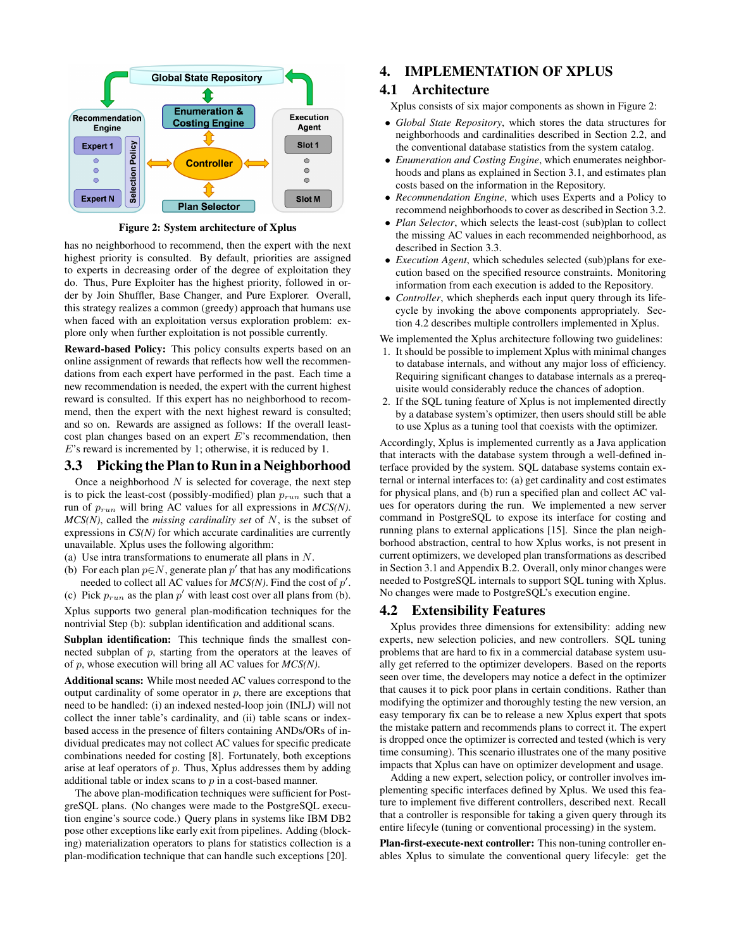

Figure 2: System architecture of Xplus

has no neighborhood to recommend, then the expert with the next highest priority is consulted. By default, priorities are assigned to experts in decreasing order of the degree of exploitation they do. Thus, Pure Exploiter has the highest priority, followed in order by Join Shuffler, Base Changer, and Pure Explorer. Overall, this strategy realizes a common (greedy) approach that humans use when faced with an exploitation versus exploration problem: explore only when further exploitation is not possible currently.

Reward-based Policy: This policy consults experts based on an online assignment of rewards that reflects how well the recommendations from each expert have performed in the past. Each time a new recommendation is needed, the expert with the current highest reward is consulted. If this expert has no neighborhood to recommend, then the expert with the next highest reward is consulted; and so on. Rewards are assigned as follows: If the overall leastcost plan changes based on an expert  $E$ 's recommendation, then E's reward is incremented by 1; otherwise, it is reduced by 1.

### 3.3 Picking the Plan to Run in a Neighborhood

Once a neighborhood  $N$  is selected for coverage, the next step is to pick the least-cost (possibly-modified) plan  $p_{run}$  such that a run of  $p_{run}$  will bring AC values for all expressions in  $MCS(N)$ . *MCS(N)*, called the *missing cardinality set* of N, is the subset of expressions in *CS(N)* for which accurate cardinalities are currently unavailable. Xplus uses the following algorithm:

- (a) Use intra transformations to enumerate all plans in N.
- (b) For each plan  $p \in N$ , generate plan  $p'$  that has any modifications needed to collect all AC values for  $MCS(N)$ . Find the cost of  $p'$ .
- (c) Pick  $p_{run}$  as the plan  $p'$  with least cost over all plans from (b).

Xplus supports two general plan-modification techniques for the nontrivial Step (b): subplan identification and additional scans.

Subplan identification: This technique finds the smallest connected subplan of  $p$ , starting from the operators at the leaves of of p, whose execution will bring all AC values for *MCS(N)*.

Additional scans: While most needed AC values correspond to the output cardinality of some operator in  $p$ , there are exceptions that need to be handled: (i) an indexed nested-loop join (INLJ) will not collect the inner table's cardinality, and (ii) table scans or indexbased access in the presence of filters containing ANDs/ORs of individual predicates may not collect AC values for specific predicate combinations needed for costing [8]. Fortunately, both exceptions arise at leaf operators of p. Thus, Xplus addresses them by adding additional table or index scans to  $p$  in a cost-based manner.

The above plan-modification techniques were sufficient for PostgreSQL plans. (No changes were made to the PostgreSQL execution engine's source code.) Query plans in systems like IBM DB2 pose other exceptions like early exit from pipelines. Adding (blocking) materialization operators to plans for statistics collection is a plan-modification technique that can handle such exceptions [20].

## 4. IMPLEMENTATION OF XPLUS

## 4.1 Architecture

Xplus consists of six major components as shown in Figure 2:

- *Global State Repository*, which stores the data structures for neighborhoods and cardinalities described in Section 2.2, and the conventional database statistics from the system catalog.
- *Enumeration and Costing Engine*, which enumerates neighborhoods and plans as explained in Section 3.1, and estimates plan costs based on the information in the Repository.
- *Recommendation Engine*, which uses Experts and a Policy to recommend neighborhoods to cover as described in Section 3.2.
- *Plan Selector*, which selects the least-cost (sub)plan to collect the missing AC values in each recommended neighborhood, as described in Section 3.3.
- *Execution Agent*, which schedules selected (sub)plans for execution based on the specified resource constraints. Monitoring information from each execution is added to the Repository.
- *Controller*, which shepherds each input query through its lifecycle by invoking the above components appropriately. Section 4.2 describes multiple controllers implemented in Xplus.

We implemented the Xplus architecture following two guidelines:

- 1. It should be possible to implement Xplus with minimal changes to database internals, and without any major loss of efficiency. Requiring significant changes to database internals as a prerequisite would considerably reduce the chances of adoption.
- 2. If the SQL tuning feature of Xplus is not implemented directly by a database system's optimizer, then users should still be able to use Xplus as a tuning tool that coexists with the optimizer.

Accordingly, Xplus is implemented currently as a Java application that interacts with the database system through a well-defined interface provided by the system. SQL database systems contain external or internal interfaces to: (a) get cardinality and cost estimates for physical plans, and (b) run a specified plan and collect AC values for operators during the run. We implemented a new server command in PostgreSQL to expose its interface for costing and running plans to external applications [15]. Since the plan neighborhood abstraction, central to how Xplus works, is not present in current optimizers, we developed plan transformations as described in Section 3.1 and Appendix B.2. Overall, only minor changes were needed to PostgreSQL internals to support SQL tuning with Xplus. No changes were made to PostgreSQL's execution engine.

#### 4.2 Extensibility Features

Xplus provides three dimensions for extensibility: adding new experts, new selection policies, and new controllers. SQL tuning problems that are hard to fix in a commercial database system usually get referred to the optimizer developers. Based on the reports seen over time, the developers may notice a defect in the optimizer that causes it to pick poor plans in certain conditions. Rather than modifying the optimizer and thoroughly testing the new version, an easy temporary fix can be to release a new Xplus expert that spots the mistake pattern and recommends plans to correct it. The expert is dropped once the optimizer is corrected and tested (which is very time consuming). This scenario illustrates one of the many positive impacts that Xplus can have on optimizer development and usage.

Adding a new expert, selection policy, or controller involves implementing specific interfaces defined by Xplus. We used this feature to implement five different controllers, described next. Recall that a controller is responsible for taking a given query through its entire lifecyle (tuning or conventional processing) in the system.

Plan-first-execute-next controller: This non-tuning controller enables Xplus to simulate the conventional query lifecyle: get the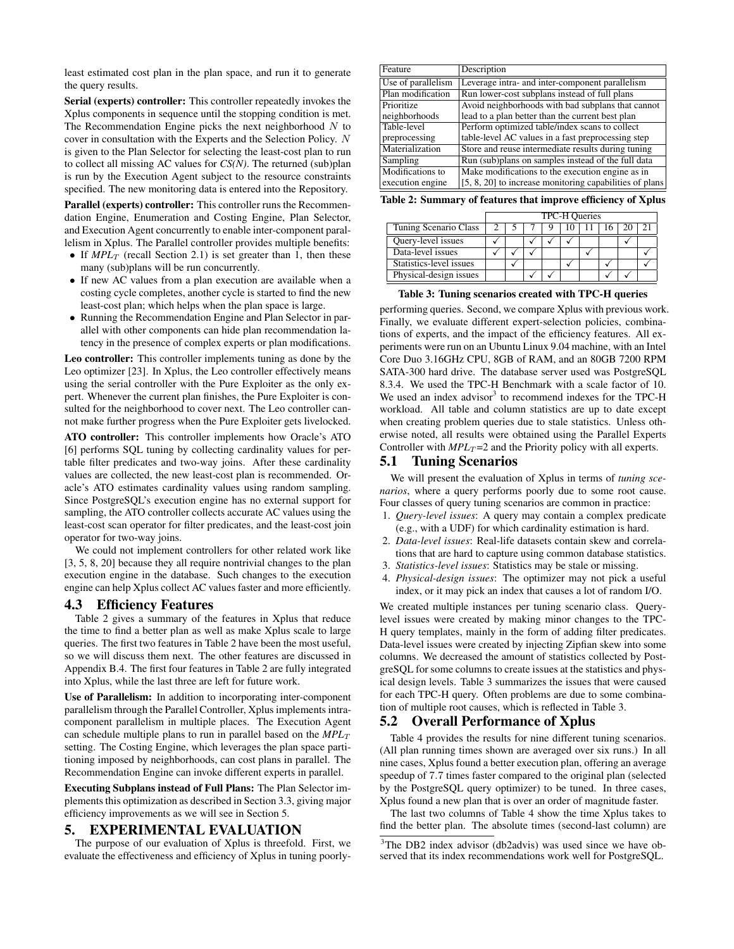least estimated cost plan in the plan space, and run it to generate the query results.

Serial (experts) controller: This controller repeatedly invokes the Xplus components in sequence until the stopping condition is met. The Recommendation Engine picks the next neighborhood  $N$  to cover in consultation with the Experts and the Selection Policy. N is given to the Plan Selector for selecting the least-cost plan to run to collect all missing AC values for *CS(N)*. The returned (sub)plan is run by the Execution Agent subject to the resource constraints specified. The new monitoring data is entered into the Repository.

Parallel (experts) controller: This controller runs the Recommendation Engine, Enumeration and Costing Engine, Plan Selector, and Execution Agent concurrently to enable inter-component parallelism in Xplus. The Parallel controller provides multiple benefits:

- If  $MPL_T$  (recall Section 2.1) is set greater than 1, then these many (sub)plans will be run concurrently.
- If new AC values from a plan execution are available when a costing cycle completes, another cycle is started to find the new least-cost plan; which helps when the plan space is large.
- Running the Recommendation Engine and Plan Selector in parallel with other components can hide plan recommendation latency in the presence of complex experts or plan modifications.

Leo controller: This controller implements tuning as done by the Leo optimizer [23]. In Xplus, the Leo controller effectively means using the serial controller with the Pure Exploiter as the only expert. Whenever the current plan finishes, the Pure Exploiter is consulted for the neighborhood to cover next. The Leo controller cannot make further progress when the Pure Exploiter gets livelocked.

ATO controller: This controller implements how Oracle's ATO [6] performs SQL tuning by collecting cardinality values for pertable filter predicates and two-way joins. After these cardinality values are collected, the new least-cost plan is recommended. Oracle's ATO estimates cardinality values using random sampling. Since PostgreSQL's execution engine has no external support for sampling, the ATO controller collects accurate AC values using the least-cost scan operator for filter predicates, and the least-cost join operator for two-way joins.

We could not implement controllers for other related work like [3, 5, 8, 20] because they all require nontrivial changes to the plan execution engine in the database. Such changes to the execution engine can help Xplus collect AC values faster and more efficiently.

#### 4.3 Efficiency Features

Table 2 gives a summary of the features in Xplus that reduce the time to find a better plan as well as make Xplus scale to large queries. The first two features in Table 2 have been the most useful, so we will discuss them next. The other features are discussed in Appendix B.4. The first four features in Table 2 are fully integrated into Xplus, while the last three are left for future work.

Use of Parallelism: In addition to incorporating inter-component parallelism through the Parallel Controller, Xplus implements intracomponent parallelism in multiple places. The Execution Agent can schedule multiple plans to run in parallel based on the  $MPL_T$ setting. The Costing Engine, which leverages the plan space partitioning imposed by neighborhoods, can cost plans in parallel. The Recommendation Engine can invoke different experts in parallel.

Executing Subplans instead of Full Plans: The Plan Selector implements this optimization as described in Section 3.3, giving major efficiency improvements as we will see in Section 5.

### 5. EXPERIMENTAL EVALUATION

The purpose of our evaluation of Xplus is threefold. First, we evaluate the effectiveness and efficiency of Xplus in tuning poorly-

| Feature            | Description                                             |
|--------------------|---------------------------------------------------------|
| Use of parallelism | Leverage intra- and inter-component parallelism         |
| Plan modification  | Run lower-cost subplans instead of full plans           |
| Prioritize         | Avoid neighborhoods with bad subplans that cannot       |
| neighborhoods      | lead to a plan better than the current best plan        |
| Table-level        | Perform optimized table/index scans to collect          |
| preprocessing      | table-level AC values in a fast preprocessing step      |
| Materialization    | Store and reuse intermediate results during tuning      |
| Sampling           | Run (sub)plans on samples instead of the full data      |
| Modifications to   | Make modifications to the execution engine as in        |
| execution engine   | [5, 8, 20] to increase monitoring capabilities of plans |

Table 2: Summary of features that improve efficiency of Xplus

|                         | TPC-H Queries |  |  |  |  |  |    |  |
|-------------------------|---------------|--|--|--|--|--|----|--|
| Tuning Scenario Class   |               |  |  |  |  |  | 20 |  |
| Query-level issues      |               |  |  |  |  |  |    |  |
| Data-level issues       |               |  |  |  |  |  |    |  |
| Statistics-level issues |               |  |  |  |  |  |    |  |
| Physical-design issues  |               |  |  |  |  |  |    |  |

#### Table 3: Tuning scenarios created with TPC-H queries

performing queries. Second, we compare Xplus with previous work. Finally, we evaluate different expert-selection policies, combinations of experts, and the impact of the efficiency features. All experiments were run on an Ubuntu Linux 9.04 machine, with an Intel Core Duo 3.16GHz CPU, 8GB of RAM, and an 80GB 7200 RPM SATA-300 hard drive. The database server used was PostgreSQL 8.3.4. We used the TPC-H Benchmark with a scale factor of 10. We used an index advisor<sup>3</sup> to recommend indexes for the TPC-H workload. All table and column statistics are up to date except when creating problem queries due to stale statistics. Unless otherwise noted, all results were obtained using the Parallel Experts Controller with  $MPL_T = 2$  and the Priority policy with all experts.

## 5.1 Tuning Scenarios

We will present the evaluation of Xplus in terms of *tuning scenarios*, where a query performs poorly due to some root cause. Four classes of query tuning scenarios are common in practice:

- 1. *Query-level issues*: A query may contain a complex predicate (e.g., with a UDF) for which cardinality estimation is hard.
- 2. *Data-level issues*: Real-life datasets contain skew and correlations that are hard to capture using common database statistics.
- 3. *Statistics-level issues*: Statistics may be stale or missing.
- 4. *Physical-design issues*: The optimizer may not pick a useful index, or it may pick an index that causes a lot of random I/O.

We created multiple instances per tuning scenario class. Querylevel issues were created by making minor changes to the TPC-H query templates, mainly in the form of adding filter predicates. Data-level issues were created by injecting Zipfian skew into some columns. We decreased the amount of statistics collected by PostgreSQL for some columns to create issues at the statistics and physical design levels. Table 3 summarizes the issues that were caused for each TPC-H query. Often problems are due to some combination of multiple root causes, which is reflected in Table 3.

## 5.2 Overall Performance of Xplus

Table 4 provides the results for nine different tuning scenarios. (All plan running times shown are averaged over six runs.) In all nine cases, Xplus found a better execution plan, offering an average speedup of 7.7 times faster compared to the original plan (selected by the PostgreSQL query optimizer) to be tuned. In three cases, Xplus found a new plan that is over an order of magnitude faster.

The last two columns of Table 4 show the time Xplus takes to find the better plan. The absolute times (second-last column) are

<sup>&</sup>lt;sup>3</sup>The DB2 index advisor (db2advis) was used since we have observed that its index recommendations work well for PostgreSQL.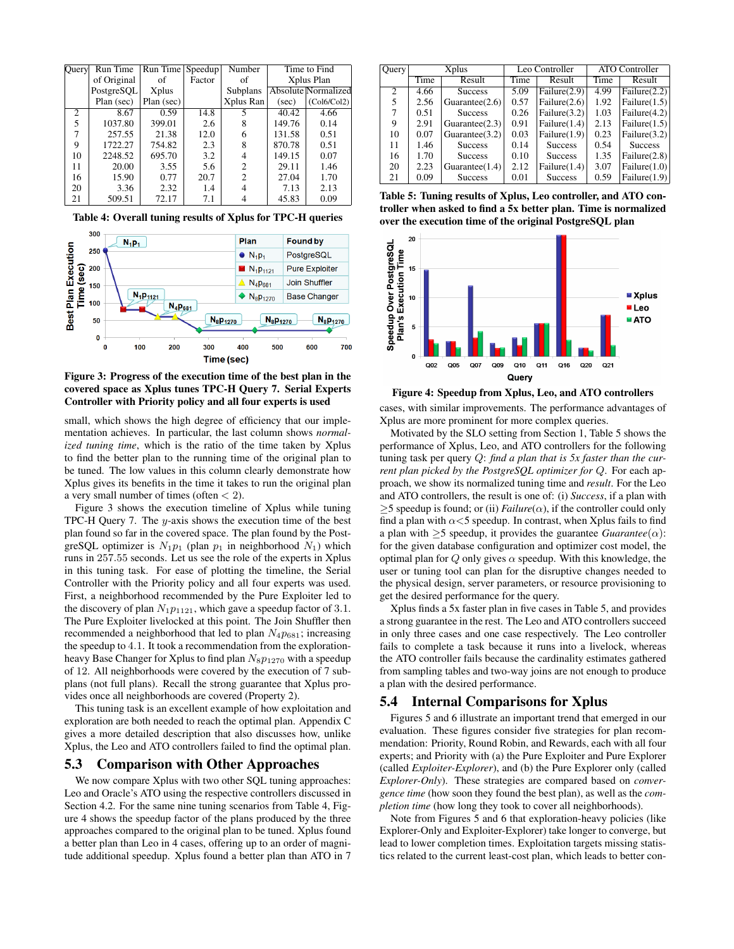| Query                    | Run Time    | Run Time Speedup |        | Number         |        | Time to Find               |
|--------------------------|-------------|------------------|--------|----------------|--------|----------------------------|
|                          | of Original | of               | Factor | of             |        | Xplus Plan                 |
|                          | PostgreSQL  | <b>Xplus</b>     |        | Subplans       |        | <b>Absolute Normalized</b> |
|                          | Plan (sec)  | Plan (sec)       |        | Xplus Ran      | (sec)  | (Col6/Col2)                |
| $\overline{c}$           | 8.67        | 0.59             | 14.8   | 5              | 40.42  | 4.66                       |
| $\overline{\phantom{0}}$ | 1037.80     | 399.01           | 2.6    | 8              | 149.76 | 0.14                       |
|                          | 257.55      | 21.38            | 12.0   | 6              | 131.58 | 0.51                       |
| 9                        | 1722.27     | 754.82           | 2.3    | 8              | 870.78 | 0.51                       |
| 10                       | 2248.52     | 695.70           | 3.2    | 4              | 149.15 | 0.07                       |
| 11                       | 20.00       | 3.55             | 5.6    | $\overline{c}$ | 29.11  | 1.46                       |
| 16                       | 15.90       | 0.77             | 20.7   | $\mathfrak{D}$ | 27.04  | 1.70                       |
| 20                       | 3.36        | 2.32             | 1.4    | 4              | 7.13   | 2.13                       |
| 21                       | 509.51      | 72.17            | 7.1    |                | 45.83  | 0.09                       |

Table 4: Overall tuning results of Xplus for TPC-H queries



Figure 3: Progress of the execution time of the best plan in the covered space as Xplus tunes TPC-H Query 7. Serial Experts Controller with Priority policy and all four experts is used

small, which shows the high degree of efficiency that our implementation achieves. In particular, the last column shows *normalized tuning time*, which is the ratio of the time taken by Xplus to find the better plan to the running time of the original plan to be tuned. The low values in this column clearly demonstrate how Xplus gives its benefits in the time it takes to run the original plan a very small number of times (often  $<$  2).

Figure 3 shows the execution timeline of Xplus while tuning TPC-H Query 7. The  $y$ -axis shows the execution time of the best plan found so far in the covered space. The plan found by the PostgreSQL optimizer is  $N_1p_1$  (plan  $p_1$  in neighborhood  $N_1$ ) which runs in 257.55 seconds. Let us see the role of the experts in Xplus in this tuning task. For ease of plotting the timeline, the Serial Controller with the Priority policy and all four experts was used. First, a neighborhood recommended by the Pure Exploiter led to the discovery of plan  $N_1p_{1121}$ , which gave a speedup factor of 3.1. The Pure Exploiter livelocked at this point. The Join Shuffler then recommended a neighborhood that led to plan  $N_4p_{681}$ ; increasing the speedup to 4.1. It took a recommendation from the explorationheavy Base Changer for Xplus to find plan  $N_8p_{1270}$  with a speedup of 12. All neighborhoods were covered by the execution of 7 subplans (not full plans). Recall the strong guarantee that Xplus provides once all neighborhoods are covered (Property 2).

This tuning task is an excellent example of how exploitation and exploration are both needed to reach the optimal plan. Appendix C gives a more detailed description that also discusses how, unlike Xplus, the Leo and ATO controllers failed to find the optimal plan.

## 5.3 Comparison with Other Approaches

We now compare Xplus with two other SQL tuning approaches: Leo and Oracle's ATO using the respective controllers discussed in Section 4.2. For the same nine tuning scenarios from Table 4, Figure 4 shows the speedup factor of the plans produced by the three approaches compared to the original plan to be tuned. Xplus found a better plan than Leo in 4 cases, offering up to an order of magnitude additional speedup. Xplus found a better plan than ATO in 7

| Ouery          | Xplus |                   |      | Leo Controller  | <b>ATO Controller</b> |                 |  |
|----------------|-------|-------------------|------|-----------------|-----------------------|-----------------|--|
|                | Time  | Result            | Time | Result          | Time                  | Result          |  |
| $\mathfrak{D}$ | 4.66  | <b>Success</b>    | 5.09 | Failure $(2.9)$ | 4.99                  | Failure $(2.2)$ |  |
| 5              | 2.56  | Guarantee $(2.6)$ | 0.57 | Failure $(2.6)$ | 1.92                  | Failure $(1.5)$ |  |
| 7              | 0.51  | <b>Success</b>    | 0.26 | Failure $(3.2)$ | 1.03                  | Failure $(4.2)$ |  |
| 9              | 2.91  | Guarantee $(2.3)$ | 0.91 | Failure $(1.4)$ | 2.13                  | Failure $(1.5)$ |  |
| 10             | 0.07  | Guarantee $(3.2)$ | 0.03 | Failure $(1.9)$ | 0.23                  | Failure $(3.2)$ |  |
| 11             | 1.46  | <b>Success</b>    | 0.14 | <b>Success</b>  | 0.54                  | <b>Success</b>  |  |
| 16             | 1.70  | <b>Success</b>    | 0.10 | <b>Success</b>  | 1.35                  | Failure $(2.8)$ |  |
| 20             | 2.23  | Guarantee $(1.4)$ | 2.12 | Failure $(1.4)$ | 3.07                  | Failure $(1.0)$ |  |
| 21             | 0.09  | <b>Success</b>    | 0.01 | <b>Success</b>  | 0.59                  | Failure $(1.9)$ |  |

Table 5: Tuning results of Xplus, Leo controller, and ATO controller when asked to find a 5x better plan. Time is normalized over the execution time of the original PostgreSQL plan



Figure 4: Speedup from Xplus, Leo, and ATO controllers

cases, with similar improvements. The performance advantages of Xplus are more prominent for more complex queries.

Motivated by the SLO setting from Section 1, Table 5 shows the performance of Xplus, Leo, and ATO controllers for the following tuning task per query Q: *find a plan that is 5x faster than the current plan picked by the PostgreSQL optimizer for* Q. For each approach, we show its normalized tuning time and *result*. For the Leo and ATO controllers, the result is one of: (i) *Success*, if a plan with  $\geq$ 5 speedup is found; or (ii) *Failure*( $\alpha$ ), if the controller could only find a plan with  $\alpha$ <5 speedup. In contrast, when Xplus fails to find a plan with  $\geq$ 5 speedup, it provides the guarantee *Guarantee* ( $\alpha$ ): for the given database configuration and optimizer cost model, the optimal plan for Q only gives  $\alpha$  speedup. With this knowledge, the user or tuning tool can plan for the disruptive changes needed to the physical design, server parameters, or resource provisioning to get the desired performance for the query.

Xplus finds a 5x faster plan in five cases in Table 5, and provides a strong guarantee in the rest. The Leo and ATO controllers succeed in only three cases and one case respectively. The Leo controller fails to complete a task because it runs into a livelock, whereas the ATO controller fails because the cardinality estimates gathered from sampling tables and two-way joins are not enough to produce a plan with the desired performance.

### 5.4 Internal Comparisons for Xplus

Figures 5 and 6 illustrate an important trend that emerged in our evaluation. These figures consider five strategies for plan recommendation: Priority, Round Robin, and Rewards, each with all four experts; and Priority with (a) the Pure Exploiter and Pure Explorer (called *Exploiter-Explorer*), and (b) the Pure Explorer only (called *Explorer-Only*). These strategies are compared based on *convergence time* (how soon they found the best plan), as well as the *completion time* (how long they took to cover all neighborhoods).

Note from Figures 5 and 6 that exploration-heavy policies (like Explorer-Only and Exploiter-Explorer) take longer to converge, but lead to lower completion times. Exploitation targets missing statistics related to the current least-cost plan, which leads to better con-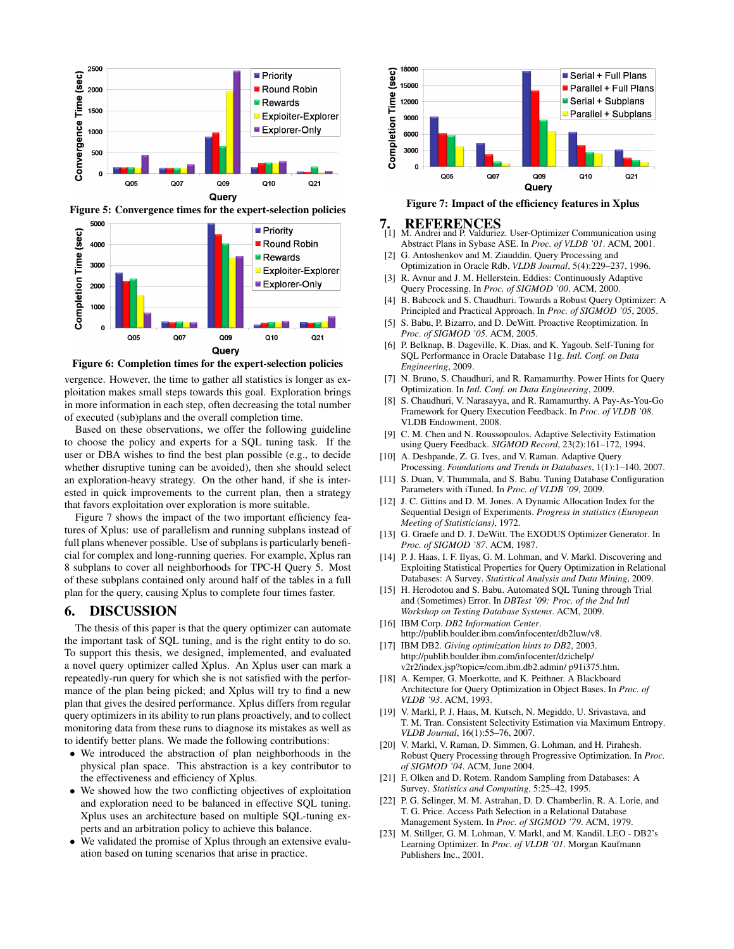

Figure 5: Convergence times for the expert-selection policies



Figure 6: Completion times for the expert-selection policies

vergence. However, the time to gather all statistics is longer as exploitation makes small steps towards this goal. Exploration brings in more information in each step, often decreasing the total number of executed (sub)plans and the overall completion time.

Based on these observations, we offer the following guideline to choose the policy and experts for a SQL tuning task. If the user or DBA wishes to find the best plan possible (e.g., to decide whether disruptive tuning can be avoided), then she should select an exploration-heavy strategy. On the other hand, if she is interested in quick improvements to the current plan, then a strategy that favors exploitation over exploration is more suitable.

Figure 7 shows the impact of the two important efficiency features of Xplus: use of parallelism and running subplans instead of full plans whenever possible. Use of subplans is particularly beneficial for complex and long-running queries. For example, Xplus ran 8 subplans to cover all neighborhoods for TPC-H Query 5. Most of these subplans contained only around half of the tables in a full plan for the query, causing Xplus to complete four times faster.

#### 6. DISCUSSION

The thesis of this paper is that the query optimizer can automate the important task of SQL tuning, and is the right entity to do so. To support this thesis, we designed, implemented, and evaluated a novel query optimizer called Xplus. An Xplus user can mark a repeatedly-run query for which she is not satisfied with the performance of the plan being picked; and Xplus will try to find a new plan that gives the desired performance. Xplus differs from regular query optimizers in its ability to run plans proactively, and to collect monitoring data from these runs to diagnose its mistakes as well as to identify better plans. We made the following contributions:

- We introduced the abstraction of plan neighborhoods in the physical plan space. This abstraction is a key contributor to the effectiveness and efficiency of Xplus.
- We showed how the two conflicting objectives of exploitation and exploration need to be balanced in effective SQL tuning. Xplus uses an architecture based on multiple SQL-tuning experts and an arbitration policy to achieve this balance.
- We validated the promise of Xplus through an extensive evaluation based on tuning scenarios that arise in practice.



Figure 7: Impact of the efficiency features in Xplus

#### 7. REFERENCES

- [1] M. Andrei and P. Valduriez. User-Optimizer Communication using Abstract Plans in Sybase ASE. In *Proc. of VLDB '01*. ACM, 2001.
- G. Antoshenkov and M. Ziauddin. Query Processing and Optimization in Oracle Rdb. *VLDB Journal*, 5(4):229–237, 1996.
- [3] R. Avnur and J. M. Hellerstein. Eddies: Continuously Adaptive Query Processing. In *Proc. of SIGMOD '00*. ACM, 2000.
- [4] B. Babcock and S. Chaudhuri. Towards a Robust Query Optimizer: A Principled and Practical Approach. In *Proc. of SIGMOD '05*, 2005.
- [5] S. Babu, P. Bizarro, and D. DeWitt. Proactive Reoptimization. In *Proc. of SIGMOD '05*. ACM, 2005.
- [6] P. Belknap, B. Dageville, K. Dias, and K. Yagoub. Self-Tuning for SQL Performance in Oracle Database 11g. *Intl. Conf. on Data Engineering*, 2009.
- N. Bruno, S. Chaudhuri, and R. Ramamurthy. Power Hints for Query Optimization. In *Intl. Conf. on Data Engineering*, 2009.
- [8] S. Chaudhuri, V. Narasayya, and R. Ramamurthy. A Pay-As-You-Go Framework for Query Execution Feedback. In *Proc. of VLDB '08*. VLDB Endowment, 2008.
- [9] C. M. Chen and N. Roussopoulos. Adaptive Selectivity Estimation using Query Feedback. *SIGMOD Record*, 23(2):161–172, 1994.
- [10] A. Deshpande, Z. G. Ives, and V. Raman. Adaptive Query Processing. *Foundations and Trends in Databases*, 1(1):1–140, 2007.
- [11] S. Duan, V. Thummala, and S. Babu. Tuning Database Configuration Parameters with iTuned. In *Proc. of VLDB '09*, 2009.
- [12] J. C. Gittins and D. M. Jones. A Dynamic Allocation Index for the Sequential Design of Experiments. *Progress in statistics (European Meeting of Statisticians)*, 1972.
- [13] G. Graefe and D. J. DeWitt. The EXODUS Optimizer Generator. In *Proc. of SIGMOD '87*. ACM, 1987.
- [14] P. J. Haas, I. F. Ilyas, G. M. Lohman, and V. Markl. Discovering and Exploiting Statistical Properties for Query Optimization in Relational Databases: A Survey. *Statistical Analysis and Data Mining*, 2009.
- [15] H. Herodotou and S. Babu. Automated SQL Tuning through Trial and (Sometimes) Error. In *DBTest '09: Proc. of the 2nd Intl Workshop on Testing Database Systems*. ACM, 2009.
- [16] IBM Corp. *DB2 Information Center*. http://publib.boulder.ibm.com/infocenter/db2luw/v8.
- [17] IBM DB2. *Giving optimization hints to DB2*, 2003. http://publib.boulder.ibm.com/infocenter/dzichelp/ v2r2/index.jsp?topic=/com.ibm.db2.admin/ p91i375.htm.
- [18] A. Kemper, G. Moerkotte, and K. Peithner. A Blackboard Architecture for Query Optimization in Object Bases. In *Proc. of VLDB '93*. ACM, 1993.
- [19] V. Markl, P. J. Haas, M. Kutsch, N. Megiddo, U. Srivastava, and T. M. Tran. Consistent Selectivity Estimation via Maximum Entropy. *VLDB Journal*, 16(1):55–76, 2007.
- [20] V. Markl, V. Raman, D. Simmen, G. Lohman, and H. Pirahesh. Robust Query Processing through Progressive Optimization. In *Proc. of SIGMOD '04*. ACM, June 2004.
- [21] F. Olken and D. Rotem. Random Sampling from Databases: A Survey. *Statistics and Computing*, 5:25–42, 1995.
- [22] P. G. Selinger, M. M. Astrahan, D. D. Chamberlin, R. A. Lorie, and T. G. Price. Access Path Selection in a Relational Database Management System. In *Proc. of SIGMOD '79*. ACM, 1979.
- [23] M. Stillger, G. M. Lohman, V. Markl, and M. Kandil. LEO DB2's Learning Optimizer. In *Proc. of VLDB '01*. Morgan Kaufmann Publishers Inc., 2001.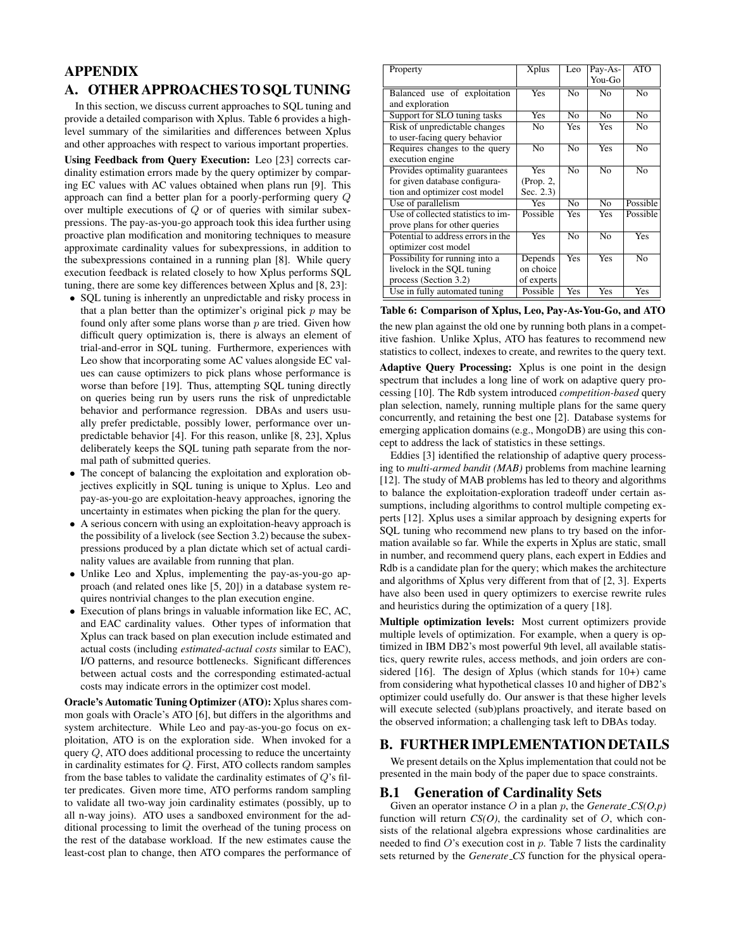## APPENDIX A. OTHER APPROACHES TO SQL TUNING

In this section, we discuss current approaches to SQL tuning and provide a detailed comparison with Xplus. Table 6 provides a highlevel summary of the similarities and differences between Xplus and other approaches with respect to various important properties.

Using Feedback from Query Execution: Leo [23] corrects cardinality estimation errors made by the query optimizer by comparing EC values with AC values obtained when plans run [9]. This approach can find a better plan for a poorly-performing query Q over multiple executions of Q or of queries with similar subexpressions. The pay-as-you-go approach took this idea further using proactive plan modification and monitoring techniques to measure approximate cardinality values for subexpressions, in addition to the subexpressions contained in a running plan [8]. While query execution feedback is related closely to how Xplus performs SQL tuning, there are some key differences between Xplus and [8, 23]:

- SQL tuning is inherently an unpredictable and risky process in that a plan better than the optimizer's original pick  $p$  may be found only after some plans worse than  $p$  are tried. Given how difficult query optimization is, there is always an element of trial-and-error in SQL tuning. Furthermore, experiences with Leo show that incorporating some AC values alongside EC values can cause optimizers to pick plans whose performance is worse than before [19]. Thus, attempting SQL tuning directly on queries being run by users runs the risk of unpredictable behavior and performance regression. DBAs and users usually prefer predictable, possibly lower, performance over unpredictable behavior [4]. For this reason, unlike [8, 23], Xplus deliberately keeps the SQL tuning path separate from the normal path of submitted queries.
- The concept of balancing the exploitation and exploration objectives explicitly in SQL tuning is unique to Xplus. Leo and pay-as-you-go are exploitation-heavy approaches, ignoring the uncertainty in estimates when picking the plan for the query.
- A serious concern with using an exploitation-heavy approach is the possibility of a livelock (see Section 3.2) because the subexpressions produced by a plan dictate which set of actual cardinality values are available from running that plan.
- Unlike Leo and Xplus, implementing the pay-as-you-go approach (and related ones like [5, 20]) in a database system requires nontrivial changes to the plan execution engine.
- Execution of plans brings in valuable information like EC, AC, and EAC cardinality values. Other types of information that Xplus can track based on plan execution include estimated and actual costs (including *estimated-actual costs* similar to EAC), I/O patterns, and resource bottlenecks. Significant differences between actual costs and the corresponding estimated-actual costs may indicate errors in the optimizer cost model.

Oracle's Automatic Tuning Optimizer (ATO): Xplus shares common goals with Oracle's ATO [6], but differs in the algorithms and system architecture. While Leo and pay-as-you-go focus on exploitation, ATO is on the exploration side. When invoked for a query Q, ATO does additional processing to reduce the uncertainty in cardinality estimates for Q. First, ATO collects random samples from the base tables to validate the cardinality estimates of  $Q$ 's filter predicates. Given more time, ATO performs random sampling to validate all two-way join cardinality estimates (possibly, up to all n-way joins). ATO uses a sandboxed environment for the additional processing to limit the overhead of the tuning process on the rest of the database workload. If the new estimates cause the least-cost plan to change, then ATO compares the performance of

| Property                                                                                         | Xplus                              | Leo            | Pay-As-<br>You-Go | ATO            |
|--------------------------------------------------------------------------------------------------|------------------------------------|----------------|-------------------|----------------|
| Balanced use of exploitation<br>and exploration                                                  | <b>Yes</b>                         | N <sub>0</sub> | N <sub>0</sub>    | $\overline{N}$ |
| Support for SLO tuning tasks                                                                     | Yes                                | N <sub>0</sub> | N <sub>0</sub>    | N <sub>0</sub> |
| Risk of unpredictable changes<br>to user-facing query behavior                                   | No                                 | Yes            | Yes               | No             |
| Requires changes to the query<br>execution engine                                                | No                                 | N <sub>0</sub> | Yes               | N <sub>0</sub> |
| Provides optimality guarantees<br>for given database configura-<br>tion and optimizer cost model | Yes<br>(Prop. 2,<br>Sec. $2.3$ )   | N <sub>0</sub> | N <sub>0</sub>    | No             |
| Use of parallelism                                                                               | <b>Yes</b>                         | No             | No                | Possible       |
| Use of collected statistics to im-<br>prove plans for other queries                              | Possible                           | Yes            | Yes               | Possible       |
| Potential to address errors in the<br>optimizer cost model                                       | Yes                                | N <sub>0</sub> | N <sub>0</sub>    | <b>Yes</b>     |
| Possibility for running into a<br>livelock in the SQL tuning<br>process (Section 3.2)            | Depends<br>on choice<br>of experts | Yes            | Yes               | No             |
| Use in fully automated tuning                                                                    | Possible                           | Yes            | Yes               | Yes            |

| Table 6: Comparison of Xplus, Leo, Pay-As-You-Go, and ATO |  |  |
|-----------------------------------------------------------|--|--|
|                                                           |  |  |

the new plan against the old one by running both plans in a competitive fashion. Unlike Xplus, ATO has features to recommend new statistics to collect, indexes to create, and rewrites to the query text.

Adaptive Query Processing: Xplus is one point in the design spectrum that includes a long line of work on adaptive query processing [10]. The Rdb system introduced *competition-based* query plan selection, namely, running multiple plans for the same query concurrently, and retaining the best one [2]. Database systems for emerging application domains (e.g., MongoDB) are using this concept to address the lack of statistics in these settings.

Eddies [3] identified the relationship of adaptive query processing to *multi-armed bandit (MAB)* problems from machine learning [12]. The study of MAB problems has led to theory and algorithms to balance the exploitation-exploration tradeoff under certain assumptions, including algorithms to control multiple competing experts [12]. Xplus uses a similar approach by designing experts for SQL tuning who recommend new plans to try based on the information available so far. While the experts in Xplus are static, small in number, and recommend query plans, each expert in Eddies and Rdb is a candidate plan for the query; which makes the architecture and algorithms of Xplus very different from that of [2, 3]. Experts have also been used in query optimizers to exercise rewrite rules and heuristics during the optimization of a query [18].

Multiple optimization levels: Most current optimizers provide multiple levels of optimization. For example, when a query is optimized in IBM DB2's most powerful 9th level, all available statistics, query rewrite rules, access methods, and join orders are considered [16]. The design of *X*plus (which stands for 10+) came from considering what hypothetical classes 10 and higher of DB2's optimizer could usefully do. Our answer is that these higher levels will execute selected (sub)plans proactively, and iterate based on the observed information; a challenging task left to DBAs today.

## B. FURTHER IMPLEMENTATION DETAILS

We present details on the Xplus implementation that could not be presented in the main body of the paper due to space constraints.

## B.1 Generation of Cardinality Sets

Given an operator instance O in a plan p, the *Generate CS(O,p)* function will return  $CS(O)$ , the cardinality set of  $O$ , which consists of the relational algebra expressions whose cardinalities are needed to find  $O$ 's execution cost in  $p$ . Table 7 lists the cardinality sets returned by the *Generate CS* function for the physical opera-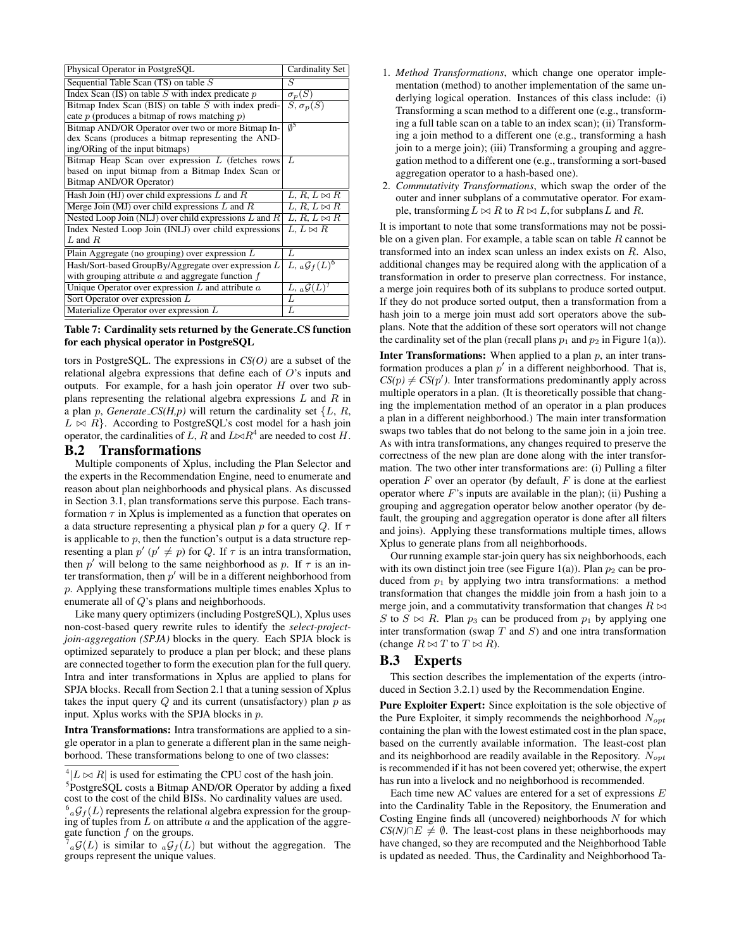| Physical Operator in PostgreSQL                           | Cardinality Set             |
|-----------------------------------------------------------|-----------------------------|
| Sequential Table Scan $(TS)$ on table $S$                 | S                           |
| Index Scan $(IS)$ on table S with index predicate $p$     | $\sigma_p(S)$               |
| Bitmap Index Scan (BIS) on table $S$ with index predi-    | $S, \sigma_p(S)$            |
| cate $p$ (produces a bitmap of rows matching $p$ )        |                             |
| Bitmap AND/OR Operator over two or more Bitmap In-        | Ø2                          |
| dex Scans (produces a bitmap representing the AND-        |                             |
| ing/ORing of the input bitmaps)                           |                             |
| Bitmap Heap Scan over expression $L$ (fetches rows        | L                           |
| based on input bitmap from a Bitmap Index Scan or         |                             |
| Bitmap AND/OR Operator)                                   |                             |
| Hash Join (HJ) over child expressions $L$ and $R$         | $L, R, L \bowtie R$         |
| Merge Join (MJ) over child expressions $L$ and $R$        | $L, R, L \bowtie R$         |
| Nested Loop Join (NLJ) over child expressions $L$ and $R$ | $L, R, L \bowtie R$         |
| Index Nested Loop Join (INLJ) over child expressions      | $L, L \bowtie R$            |
| $L$ and $R$                                               |                             |
| Plain Aggregate (no grouping) over expression $L$         | L                           |
| Hash/Sort-based GroupBy/Aggregate over expression L       | $L, {_a\mathcal{G}_f(L)^6}$ |
| with grouping attribute $a$ and aggregate function $f$    |                             |
| Unique Operator over expression $L$ and attribute $a$     | $L, {_a}\mathcal{G}(L)^7$   |
| Sort Operator over expression $L$                         | L                           |
|                                                           | L                           |

Table 7: Cardinality sets returned by the Generate CS function for each physical operator in PostgreSQL

tors in PostgreSQL. The expressions in *CS(O)* are a subset of the relational algebra expressions that define each of O's inputs and outputs. For example, for a hash join operator  $H$  over two subplans representing the relational algebra expressions  $L$  and  $R$  in a plan p, *Generate*  $\mathcal{L}S(H,p)$  will return the cardinality set  $\{L, R, \}$  $L \bowtie R$ . According to PostgreSQL's cost model for a hash join operator, the cardinalities of L, R and  $L \rtimes R^4$  are needed to cost H.

#### B.2 Transformations

Multiple components of Xplus, including the Plan Selector and the experts in the Recommendation Engine, need to enumerate and reason about plan neighborhoods and physical plans. As discussed in Section 3.1, plan transformations serve this purpose. Each transformation  $\tau$  in Xplus is implemented as a function that operates on a data structure representing a physical plan p for a query Q. If  $\tau$ is applicable to  $p$ , then the function's output is a data structure representing a plan  $p'$  ( $p' \neq p$ ) for Q. If  $\tau$  is an intra transformation, then p' will belong to the same neighborhood as p. If  $\tau$  is an inter transformation, then  $p'$  will be in a different neighborhood from p. Applying these transformations multiple times enables Xplus to enumerate all of Q's plans and neighborhoods.

Like many query optimizers (including PostgreSQL), Xplus uses non-cost-based query rewrite rules to identify the *select-projectjoin-aggregation (SPJA)* blocks in the query. Each SPJA block is optimized separately to produce a plan per block; and these plans are connected together to form the execution plan for the full query. Intra and inter transformations in Xplus are applied to plans for SPJA blocks. Recall from Section 2.1 that a tuning session of Xplus takes the input query  $Q$  and its current (unsatisfactory) plan  $p$  as input. Xplus works with the SPJA blocks in p.

Intra Transformations: Intra transformations are applied to a single operator in a plan to generate a different plan in the same neighborhood. These transformations belong to one of two classes:

<sup>5</sup>PostgreSQL costs a Bitmap AND/OR Operator by adding a fixed cost to the cost of the child BISs. No cardinality values are used.

- 1. *Method Transformations*, which change one operator implementation (method) to another implementation of the same underlying logical operation. Instances of this class include: (i) Transforming a scan method to a different one (e.g., transforming a full table scan on a table to an index scan); (ii) Transforming a join method to a different one (e.g., transforming a hash join to a merge join); (iii) Transforming a grouping and aggregation method to a different one (e.g., transforming a sort-based aggregation operator to a hash-based one).
- 2. *Commutativity Transformations*, which swap the order of the outer and inner subplans of a commutative operator. For example, transforming  $L \bowtie R$  to  $R \bowtie L$ , for subplans L and R.

It is important to note that some transformations may not be possible on a given plan. For example, a table scan on table  $R$  cannot be transformed into an index scan unless an index exists on R. Also, additional changes may be required along with the application of a transformation in order to preserve plan correctness. For instance, a merge join requires both of its subplans to produce sorted output. If they do not produce sorted output, then a transformation from a hash join to a merge join must add sort operators above the subplans. Note that the addition of these sort operators will not change the cardinality set of the plan (recall plans  $p_1$  and  $p_2$  in Figure 1(a)).

**Inter Transformations:** When applied to a plan  $p$ , an inter transformation produces a plan  $p'$  in a different neighborhood. That is,  $CS(p) \neq \overline{CS(p')}$ . Inter transformations predominantly apply across multiple operators in a plan. (It is theoretically possible that changing the implementation method of an operator in a plan produces a plan in a different neighborhood.) The main inter transformation swaps two tables that do not belong to the same join in a join tree. As with intra transformations, any changes required to preserve the correctness of the new plan are done along with the inter transformation. The two other inter transformations are: (i) Pulling a filter operation  $F$  over an operator (by default,  $F$  is done at the earliest operator where  $F$ 's inputs are available in the plan); (ii) Pushing a grouping and aggregation operator below another operator (by default, the grouping and aggregation operator is done after all filters and joins). Applying these transformations multiple times, allows Xplus to generate plans from all neighborhoods.

Our running example star-join query has six neighborhoods, each with its own distinct join tree (see Figure 1(a)). Plan  $p_2$  can be produced from  $p_1$  by applying two intra transformations: a method transformation that changes the middle join from a hash join to a merge join, and a commutativity transformation that changes  $R \bowtie$ S to  $S \bowtie R$ . Plan  $p_3$  can be produced from  $p_1$  by applying one inter transformation (swap  $T$  and  $S$ ) and one intra transformation (change  $R \bowtie T$  to  $T \bowtie R$ ).

## B.3 Experts

This section describes the implementation of the experts (introduced in Section 3.2.1) used by the Recommendation Engine.

Pure Exploiter Expert: Since exploitation is the sole objective of the Pure Exploiter, it simply recommends the neighborhood  $N_{opt}$ containing the plan with the lowest estimated cost in the plan space, based on the currently available information. The least-cost plan and its neighborhood are readily available in the Repository.  $N_{opt}$ is recommended if it has not been covered yet; otherwise, the expert has run into a livelock and no neighborhood is recommended.

Each time new AC values are entered for a set of expressions  $E$ into the Cardinality Table in the Repository, the Enumeration and Costing Engine finds all (uncovered) neighborhoods  $N$  for which *CS(N)*∩ $E \neq \emptyset$ . The least-cost plans in these neighborhoods may have changed, so they are recomputed and the Neighborhood Table is updated as needed. Thus, the Cardinality and Neighborhood Ta-

 $^{4}|L \bowtie R|$  is used for estimating the CPU cost of the hash join.

 $^{6}$ <sub>a</sub> $\mathcal{G}_{f}(L)$  represents the relational algebra expression for the grouping of tuples from  $L$  on attribute  $a$  and the application of the aggregate function  $f$  on the groups.

<sup>7</sup>  $_{a}\mathcal{G}(L)$  is similar to  $_{a}\mathcal{G}_{f}(L)$  but without the aggregation. The groups represent the unique values.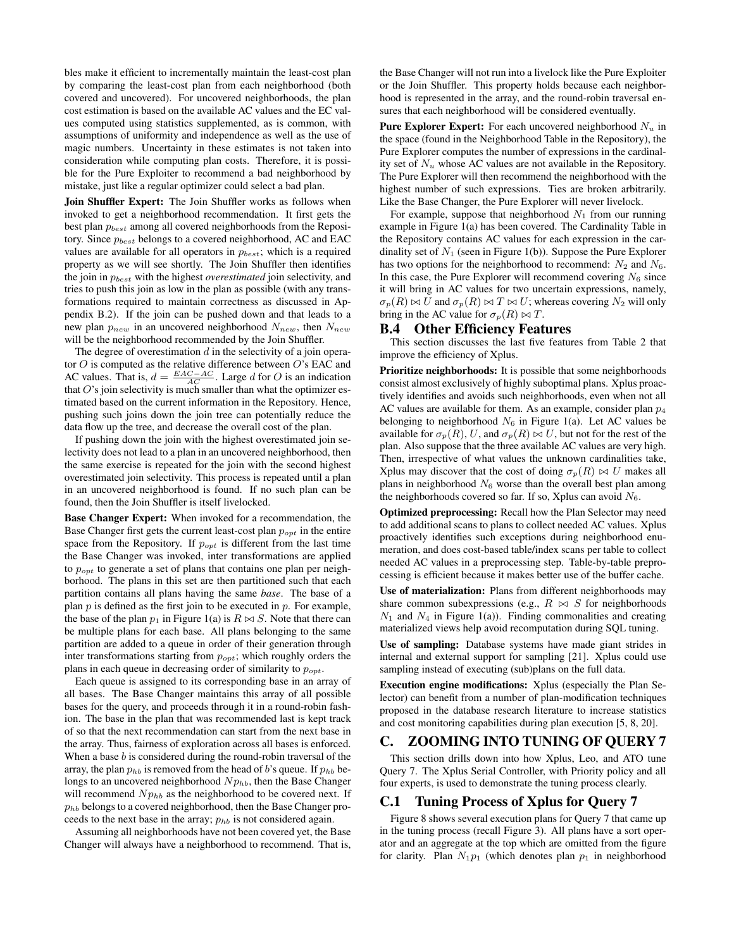bles make it efficient to incrementally maintain the least-cost plan by comparing the least-cost plan from each neighborhood (both covered and uncovered). For uncovered neighborhoods, the plan cost estimation is based on the available AC values and the EC values computed using statistics supplemented, as is common, with assumptions of uniformity and independence as well as the use of magic numbers. Uncertainty in these estimates is not taken into consideration while computing plan costs. Therefore, it is possible for the Pure Exploiter to recommend a bad neighborhood by mistake, just like a regular optimizer could select a bad plan.

Join Shuffler Expert: The Join Shuffler works as follows when invoked to get a neighborhood recommendation. It first gets the best plan  $p_{best}$  among all covered neighborhoods from the Repository. Since  $p_{best}$  belongs to a covered neighborhood, AC and EAC values are available for all operators in  $p_{best}$ ; which is a required property as we will see shortly. The Join Shuffler then identifies the join in pbest with the highest *overestimated* join selectivity, and tries to push this join as low in the plan as possible (with any transformations required to maintain correctness as discussed in Appendix B.2). If the join can be pushed down and that leads to a new plan  $p_{new}$  in an uncovered neighborhood  $N_{new}$ , then  $N_{new}$ will be the neighborhood recommended by the Join Shuffler.

The degree of overestimation  $d$  in the selectivity of a join operator  $O$  is computed as the relative difference between  $O$ 's EAC and AC values. That is,  $d = \frac{EAC - AC}{AC}$ . Large d for O is an indication that  $O$ 's join selectivity is much smaller than what the optimizer estimated based on the current information in the Repository. Hence, pushing such joins down the join tree can potentially reduce the data flow up the tree, and decrease the overall cost of the plan.

If pushing down the join with the highest overestimated join selectivity does not lead to a plan in an uncovered neighborhood, then the same exercise is repeated for the join with the second highest overestimated join selectivity. This process is repeated until a plan in an uncovered neighborhood is found. If no such plan can be found, then the Join Shuffler is itself livelocked.

Base Changer Expert: When invoked for a recommendation, the Base Changer first gets the current least-cost plan  $p_{opt}$  in the entire space from the Repository. If  $p_{opt}$  is different from the last time the Base Changer was invoked, inter transformations are applied to  $p_{opt}$  to generate a set of plans that contains one plan per neighborhood. The plans in this set are then partitioned such that each partition contains all plans having the same *base*. The base of a plan  $p$  is defined as the first join to be executed in  $p$ . For example, the base of the plan  $p_1$  in Figure 1(a) is  $R \bowtie S$ . Note that there can be multiple plans for each base. All plans belonging to the same partition are added to a queue in order of their generation through inter transformations starting from  $p_{opt}$ ; which roughly orders the plans in each queue in decreasing order of similarity to  $p_{opt}$ .

Each queue is assigned to its corresponding base in an array of all bases. The Base Changer maintains this array of all possible bases for the query, and proceeds through it in a round-robin fashion. The base in the plan that was recommended last is kept track of so that the next recommendation can start from the next base in the array. Thus, fairness of exploration across all bases is enforced. When a base  $b$  is considered during the round-robin traversal of the array, the plan  $p_{hb}$  is removed from the head of b's queue. If  $p_{hb}$  belongs to an uncovered neighborhood  $N p_{hb}$ , then the Base Changer will recommend  $N p_{hb}$  as the neighborhood to be covered next. If  $p_{hb}$  belongs to a covered neighborhood, then the Base Changer proceeds to the next base in the array;  $p_{hh}$  is not considered again.

Assuming all neighborhoods have not been covered yet, the Base Changer will always have a neighborhood to recommend. That is, the Base Changer will not run into a livelock like the Pure Exploiter or the Join Shuffler. This property holds because each neighborhood is represented in the array, and the round-robin traversal ensures that each neighborhood will be considered eventually.

**Pure Explorer Expert:** For each uncovered neighborhood  $N_u$  in the space (found in the Neighborhood Table in the Repository), the Pure Explorer computes the number of expressions in the cardinality set of  $N_u$  whose AC values are not available in the Repository. The Pure Explorer will then recommend the neighborhood with the highest number of such expressions. Ties are broken arbitrarily. Like the Base Changer, the Pure Explorer will never livelock.

For example, suppose that neighborhood  $N_1$  from our running example in Figure 1(a) has been covered. The Cardinality Table in the Repository contains AC values for each expression in the cardinality set of  $N_1$  (seen in Figure 1(b)). Suppose the Pure Explorer has two options for the neighborhood to recommend:  $N_2$  and  $N_6$ . In this case, the Pure Explorer will recommend covering  $N_6$  since it will bring in AC values for two uncertain expressions, namely,  $\sigma_p(R) \bowtie U$  and  $\sigma_p(R) \bowtie T \bowtie U$ ; whereas covering  $N_2$  will only bring in the AC value for  $\sigma_p(R) \bowtie T$ .

#### B.4 Other Efficiency Features

This section discusses the last five features from Table 2 that improve the efficiency of Xplus.

Prioritize neighborhoods: It is possible that some neighborhoods consist almost exclusively of highly suboptimal plans. Xplus proactively identifies and avoids such neighborhoods, even when not all AC values are available for them. As an example, consider plan  $p_4$ belonging to neighborhood  $N_6$  in Figure 1(a). Let AC values be available for  $\sigma_p(R)$ , U, and  $\sigma_p(R) \bowtie U$ , but not for the rest of the plan. Also suppose that the three available AC values are very high. Then, irrespective of what values the unknown cardinalities take, Xplus may discover that the cost of doing  $\sigma_p(R) \bowtie U$  makes all plans in neighborhood  $N<sub>6</sub>$  worse than the overall best plan among the neighborhoods covered so far. If so, Xplus can avoid  $N_6$ .

Optimized preprocessing: Recall how the Plan Selector may need to add additional scans to plans to collect needed AC values. Xplus proactively identifies such exceptions during neighborhood enumeration, and does cost-based table/index scans per table to collect needed AC values in a preprocessing step. Table-by-table preprocessing is efficient because it makes better use of the buffer cache.

Use of materialization: Plans from different neighborhoods may share common subexpressions (e.g.,  $R \bowtie S$  for neighborhoods  $N_1$  and  $N_4$  in Figure 1(a)). Finding commonalities and creating materialized views help avoid recomputation during SQL tuning.

Use of sampling: Database systems have made giant strides in internal and external support for sampling [21]. Xplus could use sampling instead of executing (sub)plans on the full data.

Execution engine modifications: Xplus (especially the Plan Selector) can benefit from a number of plan-modification techniques proposed in the database research literature to increase statistics and cost monitoring capabilities during plan execution [5, 8, 20].

### C. ZOOMING INTO TUNING OF QUERY 7

This section drills down into how Xplus, Leo, and ATO tune Query 7. The Xplus Serial Controller, with Priority policy and all four experts, is used to demonstrate the tuning process clearly.

#### C.1 Tuning Process of Xplus for Query 7

Figure 8 shows several execution plans for Query 7 that came up in the tuning process (recall Figure 3). All plans have a sort operator and an aggregate at the top which are omitted from the figure for clarity. Plan  $N_1p_1$  (which denotes plan  $p_1$  in neighborhood